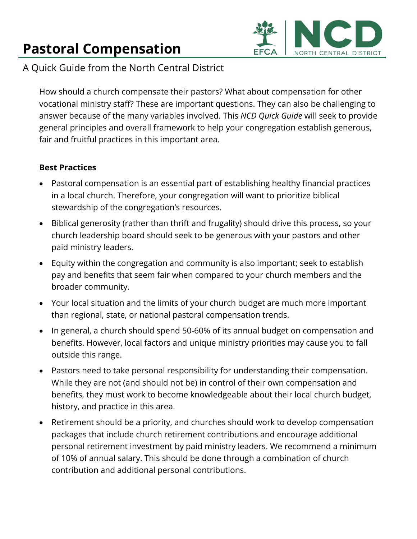## **Pastoral Compensation**



A Quick Guide from the North Central District

How should a church compensate their pastors? What about compensation for other vocational ministry staff? These are important questions. They can also be challenging to answer because of the many variables involved. This *NCD Quick Guide* will seek to provide general principles and overall framework to help your congregation establish generous, fair and fruitful practices in this important area.

## **Best Practices**

- Pastoral compensation is an essential part of establishing healthy financial practices in a local church. Therefore, your congregation will want to prioritize biblical stewardship of the congregation's resources.
- Biblical generosity (rather than thrift and frugality) should drive this process, so your church leadership board should seek to be generous with your pastors and other paid ministry leaders.
- Equity within the congregation and community is also important; seek to establish pay and benefits that seem fair when compared to your church members and the broader community.
- Your local situation and the limits of your church budget are much more important than regional, state, or national pastoral compensation trends.
- In general, a church should spend 50-60% of its annual budget on compensation and benefits. However, local factors and unique ministry priorities may cause you to fall outside this range.
- Pastors need to take personal responsibility for understanding their compensation. While they are not (and should not be) in control of their own compensation and benefits, they must work to become knowledgeable about their local church budget, history, and practice in this area.
- Retirement should be a priority, and churches should work to develop compensation packages that include church retirement contributions and encourage additional personal retirement investment by paid ministry leaders. We recommend a minimum of 10% of annual salary. This should be done through a combination of church contribution and additional personal contributions.